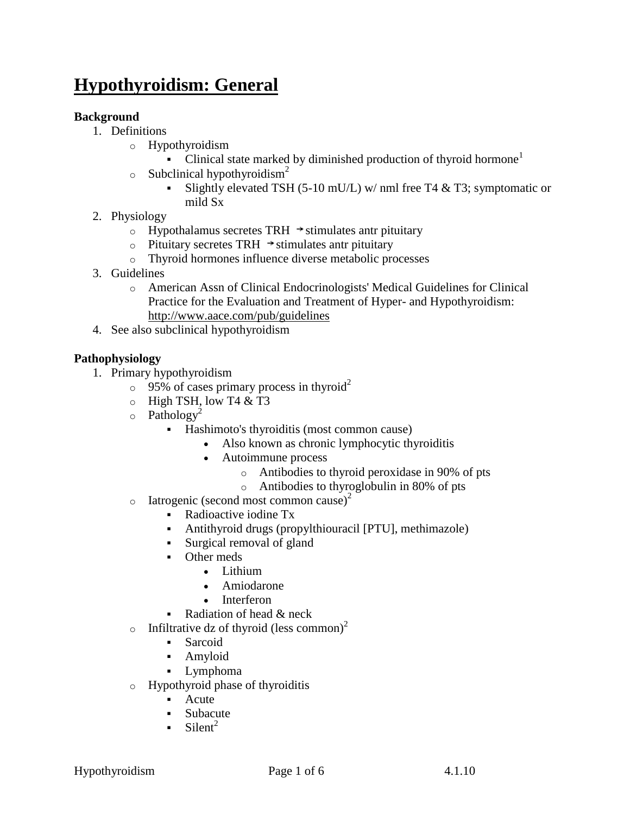# **Hypothyroidism: General**

# **Background**

- 1. Definitions
	- o Hypothyroidism
		- Clinical state marked by diminished production of thyroid hormone<sup>1</sup>
	- $\circ$  Subclinical hypothyroidism<sup>2</sup>
		- Slightly elevated TSH (5-10 mU/L) w/ nml free T4  $&$  T3; symptomatic or mild Sx
- 2. Physiology
	- o Hypothalamus secretes TRH  $\rightarrow$  stimulates antr pituitary
	- $\circ$  Pituitary secretes TRH  $\rightarrow$  stimulates antr pituitary
	- o Thyroid hormones influence diverse metabolic processes
- 3. Guidelines
	- o American Assn of Clinical Endocrinologists' Medical Guidelines for Clinical Practice for the Evaluation and Treatment of Hyper- and Hypothyroidism: <http://www.aace.com/pub/guidelines>
- 4. See also subclinical hypothyroidism

## **Pathophysiology**

- 1. Primary hypothyroidism
	- $\degree$  95% of cases primary process in thyroid<sup>2</sup>
	- $\circ$  High TSH, low T4 & T3
	- $\circ$  Pathology<sup>2</sup>
		- Hashimoto's thyroiditis (most common cause)
			- Also known as chronic lymphocytic thyroiditis
			- Autoimmune process
				- o Antibodies to thyroid peroxidase in 90% of pts
				- o Antibodies to thyroglobulin in 80% of pts
	- $\circ$  Iatrogenic (second most common cause)<sup>2</sup>
		- Radioactive iodine Tx
		- Antithyroid drugs (propylthiouracil [PTU], methimazole)
		- Surgical removal of gland
		- Other meds
			- Lithium
			- Amiodarone
			- Interferon
		- Radiation of head & neck
	- o Infiltrative dz of thyroid (less common)<sup>2</sup>
		- Sarcoid
		- Amyloid
		- Lymphoma
	- o Hypothyroid phase of thyroiditis
		- **Acute**
		- **Subacute**
		- $\blacksquare$  Silent<sup>2</sup>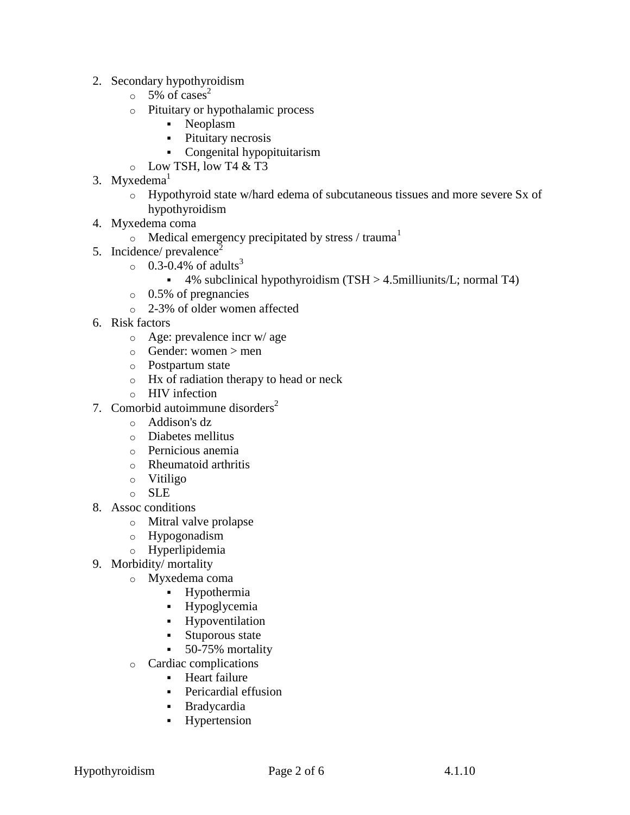- 2. Secondary hypothyroidism
	- $\circ$  5% of cases<sup>2</sup>
	- o Pituitary or hypothalamic process
		- Neoplasm
		- Pituitary necrosis
		- Congenital hypopituitarism
	- $\circ$  Low TSH, low T4 & T3
- 3. Myxedema $<sup>1</sup>$ </sup>
	- o Hypothyroid state w/hard edema of subcutaneous tissues and more severe Sx of hypothyroidism
- 4. Myxedema coma
	- $\circ$  Medical emergency precipitated by stress / trauma<sup>1</sup>
- 5. Incidence/  $prevalence<sup>2</sup>$ 
	- $\circ$  0.3-0.4% of adults<sup>3</sup>
		- $\bullet$  4% subclinical hypothyroidism (TSH  $>$  4.5milliunits/L; normal T4)
	- o 0.5% of pregnancies
	- o 2-3% of older women affected
- 6. Risk factors
	- o Age: prevalence incr w/ age
	- $\circ$  Gender: women  $>$  men
	- o Postpartum state
	- o Hx of radiation therapy to head or neck
	- o HIV infection
- 7. Comorbid autoimmune disorders $2$ 
	- o Addison's dz
	- o Diabetes mellitus
	- o Pernicious anemia
	- o Rheumatoid arthritis
	- o Vitiligo
	- o SLE
- 8. Assoc conditions
	- o Mitral valve prolapse
	- o Hypogonadism
	- o Hyperlipidemia
- 9. Morbidity/ mortality
	- o Myxedema coma
		- Hypothermia
		- **Hypoglycemia**
		- Hypoventilation
		- **Stuporous state**
		- 50-75% mortality
	- o Cardiac complications
		- **Heart failure**
		- Pericardial effusion
		- Bradycardia
		- **Hypertension**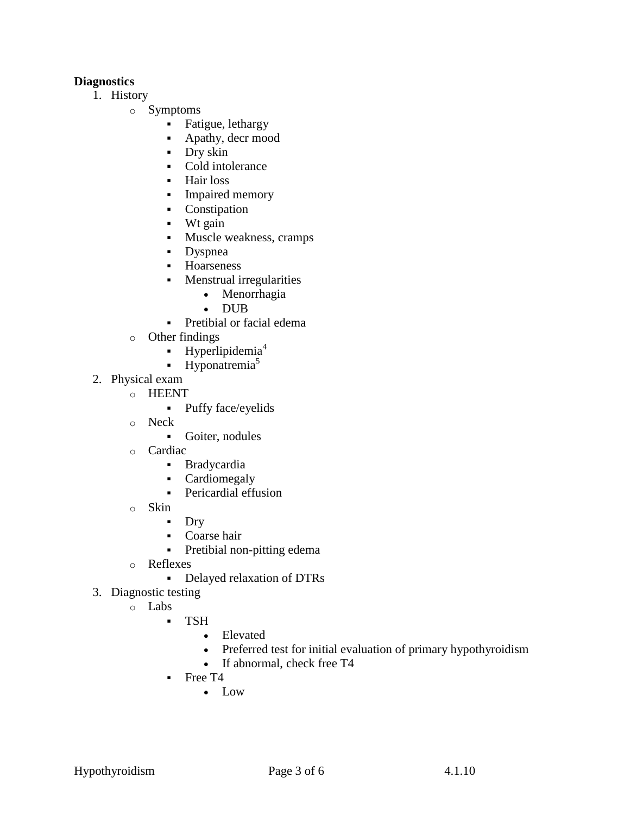## **Diagnostics**

- 1. History
	- o Symptoms
		- Fatigue, lethargy
		- Apathy, decr mood
		- Dry skin
		- Cold intolerance
		- Hair loss
		- Impaired memory
		- Constipation
		- $\blacksquare$  Wt gain
		- **Muscle weakness, cramps**
		- Dyspnea
		- **-** Hoarseness
		- **Menstrual irregularities** 
			- Menorrhagia
			- DUB
		- Pretibial or facial edema
	- o Other findings
		- $\blacksquare$  [Hyperlipidemia](http://pepidonline.com/content/content.aspx?url=endocrine.htm#lipid)<sup>4</sup>
		- $\blacksquare$  [Hyponatremia](http://pepidonline.com/content/content.aspx?url=men160.htm)<sup>5</sup>
- 2. Physical exam
	- o HEENT
		- Puffy face/eyelids
		- o Neck
			- Goiter, nodules
		- o Cardiac
			- Bradycardia
			- Cardiomegaly
			- Pericardial effusion
		- o Skin
			- **Dry**
			- Coarse hair
			- Pretibial non-pitting edema
		- o Reflexes
			- Delayed relaxation of DTRs
- 3. Diagnostic testing
	- o Labs
		- TSH
			- Elevated
			- Preferred test for initial evaluation of primary hypothyroidism
			- If abnormal, check free T4
		- Free T4
			- Low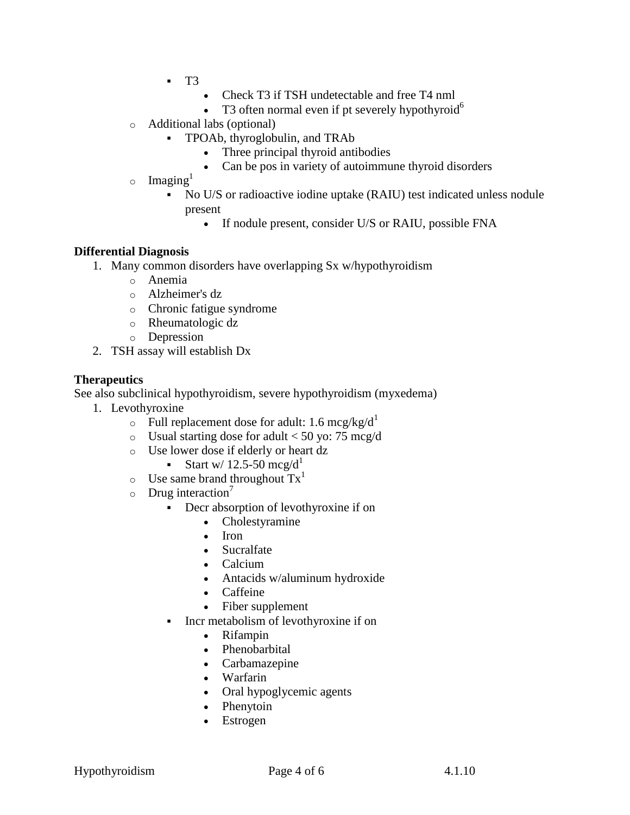- $-T3$ 
	- Check T3 if TSH undetectable and free T4 nml
	- T3 often normal even if pt severely hypothyroid<sup>6</sup>
- o Additional labs (optional)
	- TPOAb, thyroglobulin, and TRAb
		- Three principal thyroid antibodies
		- Can be pos in variety of autoimmune thyroid disorders
- $\circ$  Imaging<sup>1</sup>
	- No U/S or radioactive iodine uptake (RAIU) test indicated unless nodule present
		- If nodule present, consider U/S or RAIU, possible FNA

### **Differential Diagnosis**

- 1. Many common disorders have overlapping Sx w/hypothyroidism
	- o Anemia
	- o Alzheimer's dz
	- o Chronic fatigue syndrome
	- o Rheumatologic dz
	- o Depression
- 2. TSH assay will establish Dx

### **Therapeutics**

See also subclinical hypothyroidism, severe hypothyroidism (myxedema)

- 1. [Levothyroxine](http://pepidonline.com/content/content.aspx?url=DME/dme360.htm)
	- $\circ$  Full replacement dose for adult: 1.6 mcg/kg/d<sup>1</sup>
	- $\circ$  Usual starting dose for adult < 50 yo: 75 mcg/d
	- o Use lower dose if elderly or heart dz
		- Start w/ 12.5-50 mcg/d<sup>1</sup>
	- $\circ$  Use same brand throughout  $Tx<sup>1</sup>$
	- $\circ$  Drug interaction<sup>7</sup>
		- Decr absorption of levothyroxine if on
			- [Cholestyramine](http://pepidonline.com/content/content.aspx?url=DHV/dhv935.htm)
			- $\bullet$  Iron
			- [Sucralfate](http://pepidonline.com/content/content.aspx?url=DGI/dgi185.htm)
			- Calcium
			- Antacids w/aluminum hydroxide
			- Caffeine
			- Fiber supplement
		- Incr metabolism of levothyroxine if on
			- [Rifampin](http://pepidonline.com/content/content.aspx?url=DID/did570.htm)
			- Phenobarbital
			- [Carbamazepine](http://pepidonline.com/content/content.aspx?url=DNE/dne610.htm)
			- [Warfarin](http://pepidonline.com/content/content.aspx?url=DHO/dho785.htm)
			- Oral hypoglycemic agents
			- [Phenytoin](http://pepidonline.com/content/content.aspx?url=DNE/dne660.htm)
			- Estrogen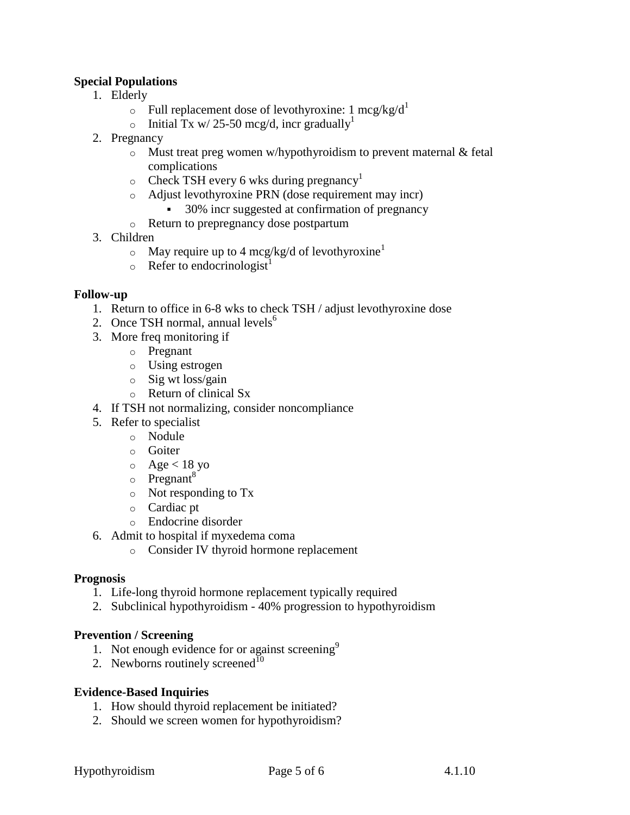## **Special Populations**

- 1. Elderly
	- $\circ$  Full replacement dose of levothyroxine: 1 mcg/kg/d<sup>1</sup>
	- o Initial Tx w/ 25-50 mcg/d, incr gradually<sup>1</sup>
- 2. Pregnancy
	- $\circ$  Must treat preg women w/hypothyroidism to prevent maternal & fetal complications
	- $\circ$  Check TSH every 6 wks during pregnancy<sup>1</sup>
	- o Adjust levothyroxine PRN (dose requirement may incr)
		- 30% incr suggested at confirmation of pregnancy
	- o Return to prepregnancy dose postpartum
- 3. Children
	- $\circ$  May require up to 4 mcg/kg/d of levothyroxine<sup>1</sup>
	- $\circ$  Refer to endocrinologist<sup>1</sup>

### **Follow-up**

- 1. Return to office in 6-8 wks to check TSH / adjust levothyroxine dose
- 2. Once TSH normal, annual levels<sup> $6$ </sup>
- 3. More freq monitoring if
	- o Pregnant
	- o Using estrogen
	- o Sig wt loss/gain
	- o Return of clinical Sx
- 4. If TSH not normalizing, consider noncompliance
- 5. Refer to specialist
	- o Nodule
		- o Goiter
	- $\circ$  Age < 18 yo
	- $\circ$  Pregnant<sup>8</sup>
	- o Not responding to Tx
	- o Cardiac pt
	- o Endocrine disorder
- 6. Admit to hospital if myxedema coma
	- o Consider IV thyroid hormone replacement

#### **Prognosis**

- 1. Life-long thyroid hormone replacement typically required
- 2. Subclinical hypothyroidism 40% progression to hypothyroidism

#### **Prevention / Screening**

- 1. Not enough evidence for or against screening<sup>9</sup>
- 2. Newborns routinely screened<sup>10</sup>

### **Evidence-Based Inquiries**

- 1. How should thyroid replacement be initiated?
- 2. Should we screen women for hypothyroidism?